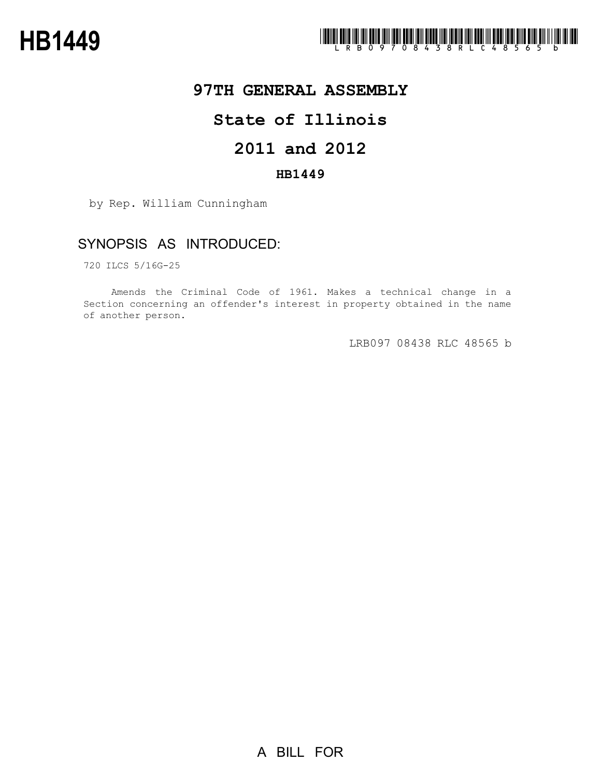

# **97TH GENERAL ASSEMBLY**

# **State of Illinois**

# **2011 and 2012**

### **HB1449**

by Rep. William Cunningham

## SYNOPSIS AS INTRODUCED:

720 ILCS 5/16G-25

Amends the Criminal Code of 1961. Makes a technical change in a Section concerning an offender's interest in property obtained in the name of another person.

LRB097 08438 RLC 48565 b